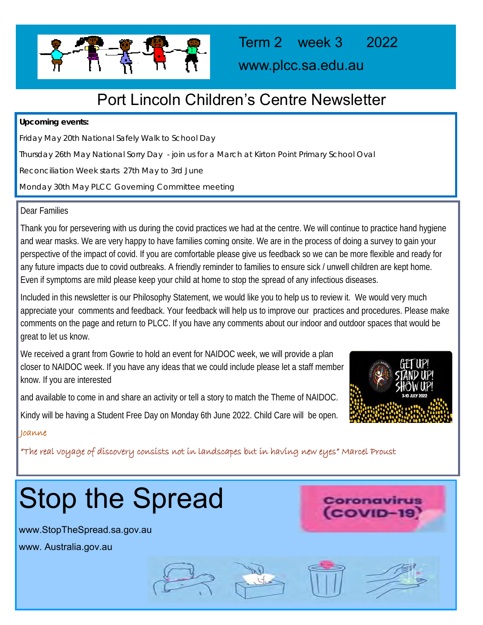

www.plcc.sa.edu.au

## Port Lincoln Children's Centre Newsletter

**Upcoming events:** 

Friday May 20th National Safely Walk to School Day

Thursday 26th May National Sorry Day - join us for a March at Kirton Point Primary School Oval

Reconciliation Week starts 27th May to 3rd June

Monday 30th May PLCC Governing Committee meeting

#### Dear Families

Thank you for persevering with us during the covid practices we had at the centre. We will continue to practice hand hygiene and wear masks. We are very happy to have families coming onsite. We are in the process of doing a survey to gain your perspective of the impact of covid. If you are comfortable please give us feedback so we can be more flexible and ready for any future impacts due to covid outbreaks. A friendly reminder to families to ensure sick / unwell children are kept home. Even if symptoms are mild please keep your child at home to stop the spread of any infectious diseases.

Included in this newsletter is our Philosophy Statement, we would like you to help us to review it. We would very much appreciate your comments and feedback. Your feedback will help us to improve our practices and procedures. Please make comments on the page and return to PLCC. If you have any comments about our indoor and outdoor spaces that would be great to let us know.

We received a grant from Gowrie to hold an event for NAIDOC week, we will provide a plan closer to NAIDOC week. If you have any ideas that we could include please let a staff member know. If you are interested

and available to come in and share an activity or tell a story to match the Theme of NAIDOC.

Kindy will be having a Student Free Day on Monday 6th June 2022. Child Care will be open.



Coronavirus COVID-19

#### Joanne

"The real voyage of discovery consists not in landscapes but in having new eyes" Marcel Proust

# Stop the Spread

www.StopTheSpread.sa.gov.au www. Australia.gov.au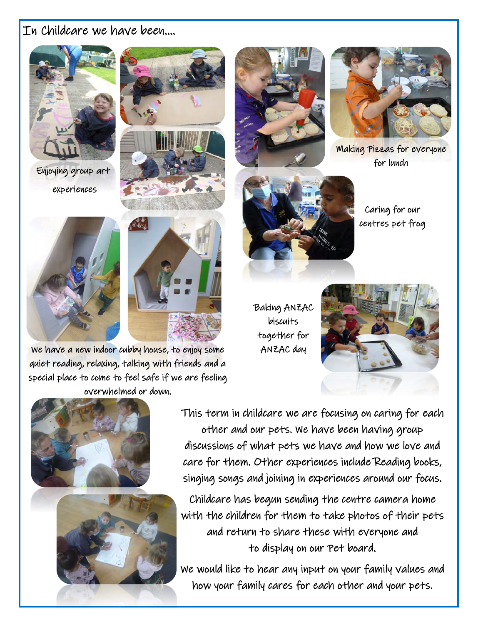## In Childcare we have been….



Enjoying group art experiences









Making Pizzas for everyone for lunch

Caring for our centres pet frog

Baking ANZAC biscuits together for ANZAC day





quiet reading, relaxing, talking with friends and a

This term in childcare we are focusing on caring for each other and our pets. We have been having group discussions of what pets we have and how we love and care for them. Other experiences include Reading books, singing songs and joining in experiences around our focus.

Childcare has begun sending the centre camera home with the children for them to take photos of their pets and return to share these with everyone and to display on our Pet board.

We would like to hear any input on your family values and how your family cares for each other and your pets.

We have a new indoor cubby house, to enjoy some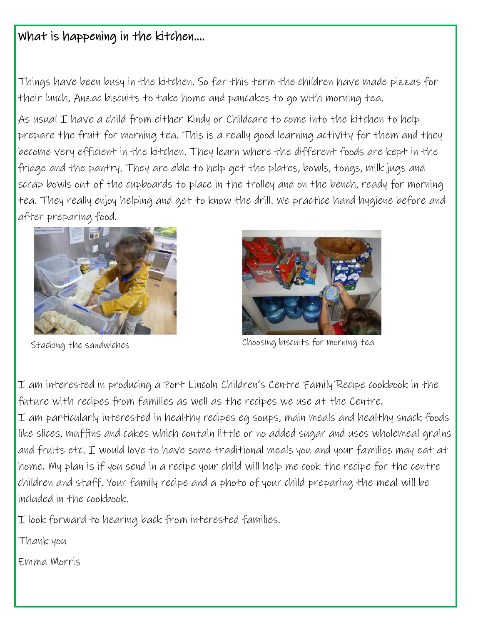## What is happening in the kitchen….

Things have been busy in the kitchen. So far this term the children have made pizzas for their lunch, Anzac biscuits to take home and pancakes to go with morning tea.

As usual  $I$  have a child from either Kindy or Childcare to come into the kitchen to help prepare the fruit for morning tea. This is a really good learning activity for them and they become very efficient in the kitchen. They learn where the different foods are kept in the fridge and the pantry. They are able to help get the plates, bowls, tongs, milk jugs and scrap bowls out of the cupboards to place in the trolley and on the bench, ready for morning tea. They really enjoy helping and get to know the drill. We practice hand hygiene before and after preparing food.





Stacking the sandwiches **Stacking** the sandwiches **Stacking** teams

I am interested in producing a Port Lincoln Children's Centre Family Recipe cookbook in the future with recipes from families as well as the recipes we use at the Centre. I am particularly interested in healthy recipes eg soups, main meals and healthy snack foods like slices, muffins and cakes which contain little or no added sugar and uses wholemeal grains and fruits etc. I would love to have some traditional meals you and your families may eat at home. My plan is if you send in a recipe your child will help me cook the recipe for the centre children and staff. Your family recipe and a photo of your child preparing the meal will be included in the cookbook.

I look forward to hearing back from interested families.

Thank you

Emma Morris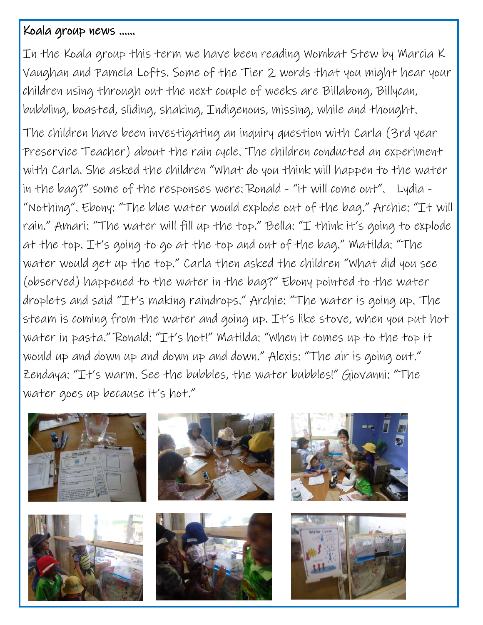## Koala group news ……

In the Koala group this term we have been reading Wombat Stew by Marcia K Vaughan and Pamela Lofts. Some of the Tier 2 words that you might hear your children using through out the next couple of weeks are Billabong, Billycan, bubbling, boasted, sliding, shaking, Indigenous, missing, while and thought.

The children have been investigating an inquiry question with Carla (3rd year Preservice Teacher) about the rain cycle. The children conducted an experiment with Carla. She asked the children "What do you think will happen to the water in the bag?" some of the responses were: Ronald - "it will come out". Lydia - "Nothing". Ebony: "The blue water would explode out of the bag." Archie: "It will rain." Amari: "The water will fill up the top." Bella: "I think it's going to explode at the top. It's going to go at the top and out of the bag." Matilda: "The water would get up the top." Carla then asked the children "What did you see (observed) happened to the water in the bag?" Ebony pointed to the water droplets and said "It's making raindrops." Archie: "The water is going up. The steam is coming from the water and going up. It's like stove, when you put hot water in pasta." Ronald: "It's hot!" Matilda: "When it comes up to the top it would up and down up and down up and down." Alexis: "The air is going out." Zendaya: "It's warm. See the bubbles, the water bubbles!" Giovanni: "The water goes up because it's hot."

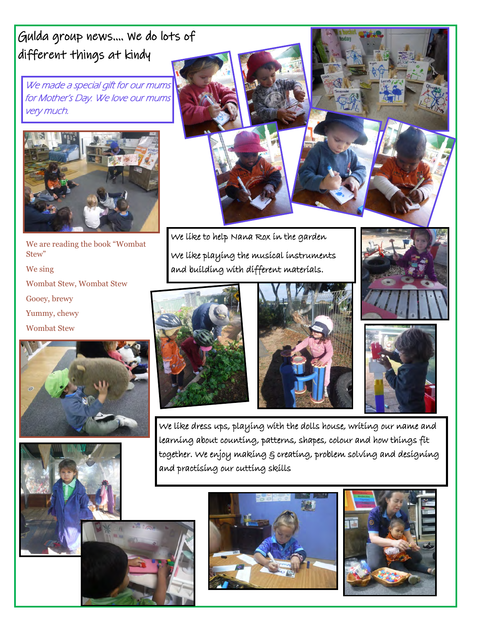Gulda group news…. We do lots of different things at kindy

We made a special gift for our mums for Mother's Day. We love our mums very much.



We are reading the book "Wombat Stew" We sing Wombat Stew, Wombat Stew Gooey, brewy Yummy, chewy Wombat Stew







We like to help Nana Rox in the garden We like playing the musical instruments and building with different materials.







We like dress ups, playing with the dolls house, writing our name and learning about counting, patterns, shapes, colour and how things fit together. We enjoy making & creating, problem solving and designing and practising our cutting skills